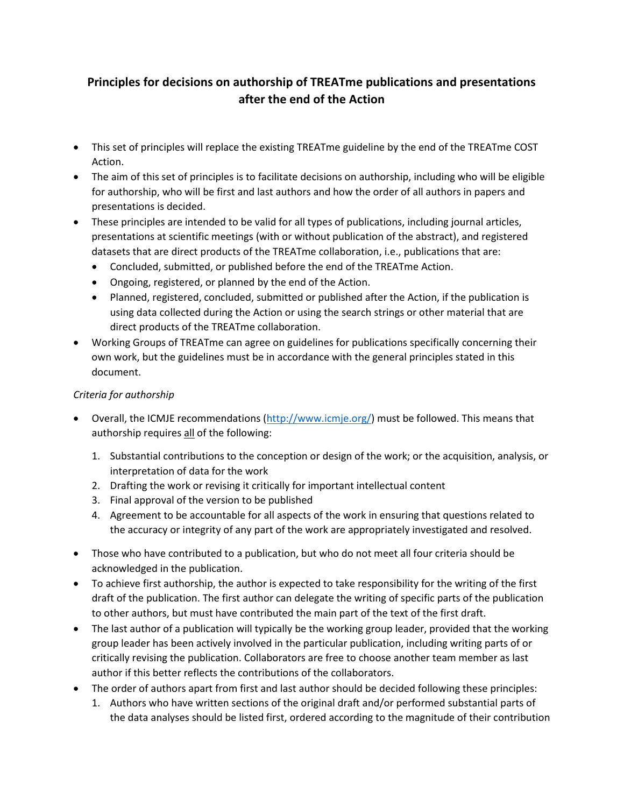## **Principles for decisions on authorship of TREATme publications and presentations after the end of the Action**

- This set of principles will replace the existing TREATme guideline by the end of the TREATme COST Action.
- The aim of this set of principles is to facilitate decisions on authorship, including who will be eligible for authorship, who will be first and last authors and how the order of all authors in papers and presentations is decided.
- These principles are intended to be valid for all types of publications, including journal articles, presentations at scientific meetings (with or without publication of the abstract), and registered datasets that are direct products of the TREATme collaboration, i.e., publications that are:
	- Concluded, submitted, or published before the end of the TREATme Action.
	- Ongoing, registered, or planned by the end of the Action.
	- Planned, registered, concluded, submitted or published after the Action, if the publication is using data collected during the Action or using the search strings or other material that are direct products of the TREATme collaboration.
- Working Groups of TREATme can agree on guidelines for publications specifically concerning their own work, but the guidelines must be in accordance with the general principles stated in this document.

## *Criteria for authorship*

- Overall, the ICMJE recommendations [\(http://www.icmje.org/\)](http://www.icmje.org/) must be followed. This means that authorship requires all of the following:
	- 1. Substantial contributions to the conception or design of the work; or the acquisition, analysis, or interpretation of data for the work
	- 2. Drafting the work or revising it critically for important intellectual content
	- 3. Final approval of the version to be published
	- 4. Agreement to be accountable for all aspects of the work in ensuring that questions related to the accuracy or integrity of any part of the work are appropriately investigated and resolved.
- Those who have contributed to a publication, but who do not meet all four criteria should be acknowledged in the publication.
- To achieve first authorship, the author is expected to take responsibility for the writing of the first draft of the publication. The first author can delegate the writing of specific parts of the publication to other authors, but must have contributed the main part of the text of the first draft.
- The last author of a publication will typically be the working group leader, provided that the working group leader has been actively involved in the particular publication, including writing parts of or critically revising the publication. Collaborators are free to choose another team member as last author if this better reflects the contributions of the collaborators.
- The order of authors apart from first and last author should be decided following these principles:
	- 1. Authors who have written sections of the original draft and/or performed substantial parts of the data analyses should be listed first, ordered according to the magnitude of their contribution